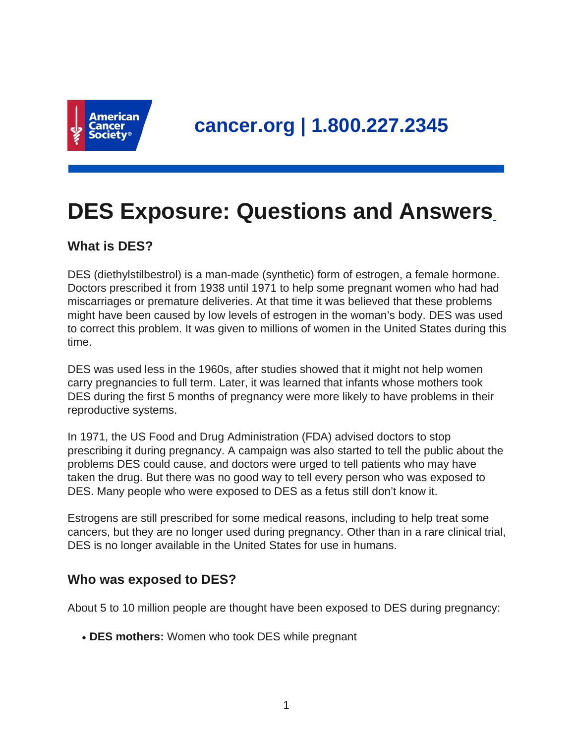

# **DES Exposure: Questions and Answers**

# **What is DES?**

DES (diethylstilbestrol) is a man-made (synthetic) form of estrogen, a female hormone. Doctors prescribed it from 1938 until 1971 to help some pregnant women who had had miscarriages or premature deliveries. At that time it was believed that these problems might have been caused by low levels of estrogen in the woman's body. DES was used to correct this problem. It was given to millions of women in the United States during this time.

DES was used less in the 1960s, after studies showed that it might not help women carry pregnancies to full term. Later, it was learned that infants whose mothers took DES during the first 5 months of pregnancy were more likely to have problems in their reproductive systems.

In 1971, the US Food and Drug Administration (FDA) advised doctors to stop prescribing it during pregnancy. A campaign was also started to tell the public about the problems DES could cause, and doctors were urged to tell patients who may have taken the drug. But there was no good way to tell every person who was exposed to DES. Many people who were exposed to DES as a fetus still don't know it.

Estrogens are still prescribed for some medical reasons, including to help treat some cancers, but they are no longer used during pregnancy. Other than in a rare clinical trial, DES is no longer available in the United States for use in humans.

# **Who was exposed to DES?**

About 5 to 10 million people are thought have been exposed to DES during pregnancy:

• **DES mothers:** Women who took DES while pregnant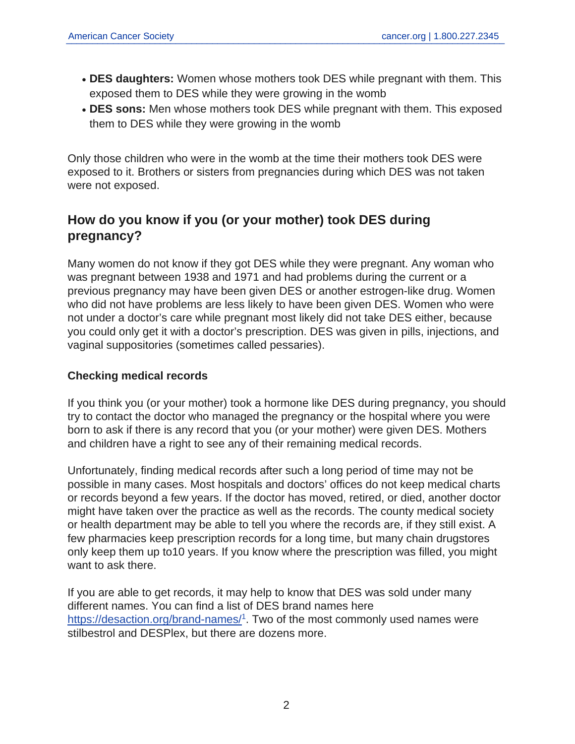- **DES daughters:** Women whose mothers took DES while pregnant with them. This exposed them to DES while they were growing in the womb
- DES sons: Men whose mothers took DES while pregnant with them. This exposed them to DES while they were growing in the womb

Only those children who were in the womb at the time their mothers took DES were exposed to it. Brothers or sisters from pregnancies during which DES was not taken were not exposed.

# **How do you know if you (or your mother) took DES during pregnancy?**

Many women do not know if they got DES while they were pregnant. Any woman who was pregnant between 1938 and 1971 and had problems during the current or a previous pregnancy may have been given DES or another estrogen-like drug. Women who did not have problems are less likely to have been given DES. Women who were not under a doctor's care while pregnant most likely did not take DES either, because you could only get it with a doctor's prescription. DES was given in pills, injections, and vaginal suppositories (sometimes called pessaries).

## **Checking medical records**

If you think you (or your mother) took a hormone like DES during pregnancy, you should try to contact the doctor who managed the pregnancy or the hospital where you were born to ask if there is any record that you (or your mother) were given DES. Mothers and children have a right to see any of their remaining medical records.

Unfortunately, finding medical records after such a long period of time may not be possible in many cases. Most hospitals and doctors' offices do not keep medical charts or records beyond a few years. If the doctor has moved, retired, or died, another doctor might have taken over the practice as well as the records. The county medical society or health department may be able to tell you where the records are, if they still exist. A few pharmacies keep prescription records for a long time, but many chain drugstores only keep them up to10 years. If you know where the prescription was filled, you might want to ask there.

If you are able to get records, it may help to know that DES was sold under many different names. You can find a list of DES brand names here <https://desaction.org/brand-names/><sup>1</sup>. Two of the most commonly used names were stilbestrol and DESPlex, but there are dozens more.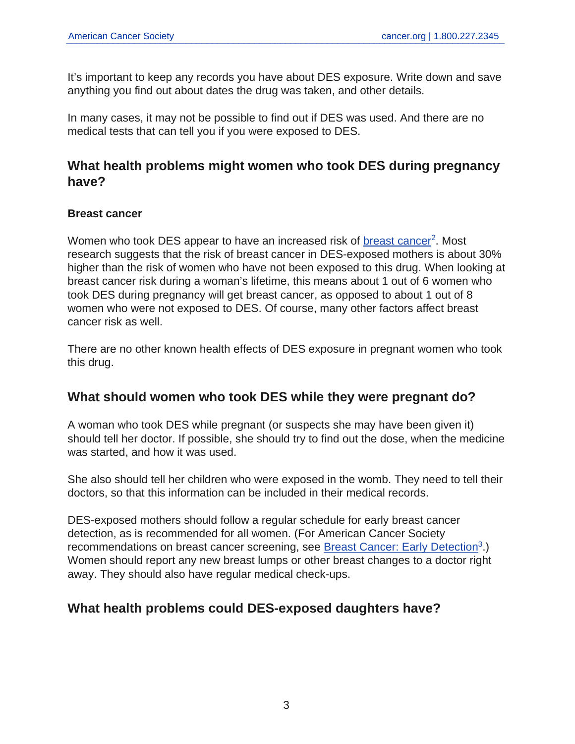It's important to keep any records you have about DES exposure. Write down and save anything you find out about dates the drug was taken, and other details.

In many cases, it may not be possible to find out if DES was used. And there are no medical tests that can tell you if you were exposed to DES.

# **What health problems might women who took DES during pregnancy have?**

## **Breast cancer**

Women who took DES appear to have an increased risk of <u>[breast cancer](https://www.cancer.org/cancer/breast-cancer.html)</u><sup>2</sup>. Most research suggests that the risk of breast cancer in DES-exposed mothers is about 30% higher than the risk of women who have not been exposed to this drug. When looking at breast cancer risk during a woman's lifetime, this means about 1 out of 6 women who took DES during pregnancy will get breast cancer, as opposed to about 1 out of 8 women who were not exposed to DES. Of course, many other factors affect breast cancer risk as well.

There are no other known health effects of DES exposure in pregnant women who took this drug.

## **What should women who took DES while they were pregnant do?**

A woman who took DES while pregnant (or suspects she may have been given it) should tell her doctor. If possible, she should try to find out the dose, when the medicine was started, and how it was used.

She also should tell her children who were exposed in the womb. They need to tell their doctors, so that this information can be included in their medical records.

DES-exposed mothers should follow a regular schedule for early breast cancer detection, as is recommended for all women. (For American Cancer Society recommendations on breast cancer screening, see **[Breast Cancer: Early Detection](https://www.cancer.org/cancer/breast-cancer/screening-tests-and-early-detection.html)**<sup>3</sup>.) Women should report any new breast lumps or other breast changes to a doctor right away. They should also have regular medical check-ups.

# **What health problems could DES-exposed daughters have?**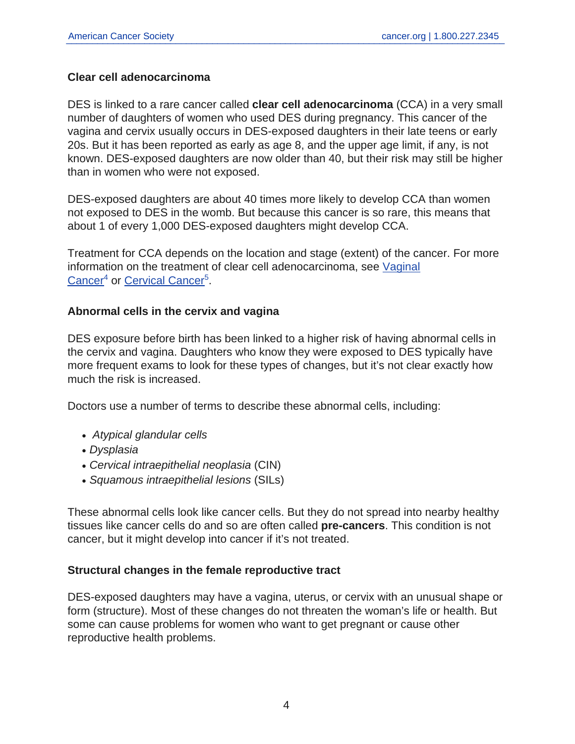## **Clear cell adenocarcinoma**

DES is linked to a rare cancer called **clear cell adenocarcinoma** (CCA) in a very small number of daughters of women who used DES during pregnancy. This cancer of the vagina and cervix usually occurs in DES-exposed daughters in their late teens or early 20s. But it has been reported as early as age 8, and the upper age limit, if any, is not known. DES-exposed daughters are now older than 40, but their risk may still be higher than in women who were not exposed.

DES-exposed daughters are about 40 times more likely to develop CCA than women not exposed to DES in the womb. But because this cancer is so rare, this means that about 1 of every 1,000 DES-exposed daughters might develop CCA.

Treatment for CCA depends on the location and stage (extent) of the cancer. For more information on the treatment of clear cell adenocarcinoma, see [Vaginal](https://www.cancer.org/cancer/vaginal-cancer.html) [Cancer](https://www.cancer.org/cancer/vaginal-cancer.html)<sup>4</sup> or [Cervical Cancer](https://www.cancer.org/cancer/cervical-cancer.html)<sup>5</sup>.

#### **Abnormal cells in the cervix and vagina**

DES exposure before birth has been linked to a higher risk of having abnormal cells in the cervix and vagina. Daughters who know they were exposed to DES typically have more frequent exams to look for these types of changes, but it's not clear exactly how much the risk is increased.

Doctors use a number of terms to describe these abnormal cells, including:

- Atypical glandular cells
- Dysplasia
- Cervical intraepithelial neoplasia (CIN)
- Squamous intraepithelial lesions (SILs)

These abnormal cells look like cancer cells. But they do not spread into nearby healthy tissues like cancer cells do and so are often called **pre-cancers**. This condition is not cancer, but it might develop into cancer if it's not treated.

#### **Structural changes in the female reproductive tract**

DES-exposed daughters may have a vagina, uterus, or cervix with an unusual shape or form (structure). Most of these changes do not threaten the woman's life or health. But some can cause problems for women who want to get pregnant or cause other reproductive health problems.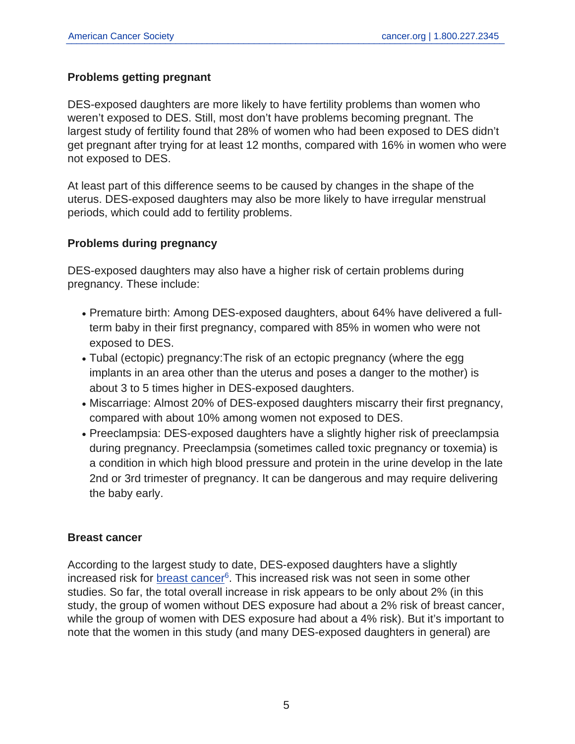## **Problems getting pregnant**

DES-exposed daughters are more likely to have fertility problems than women who weren't exposed to DES. Still, most don't have problems becoming pregnant. The largest study of fertility found that 28% of women who had been exposed to DES didn't get pregnant after trying for at least 12 months, compared with 16% in women who were not exposed to DES.

At least part of this difference seems to be caused by changes in the shape of the uterus. DES-exposed daughters may also be more likely to have irregular menstrual periods, which could add to fertility problems.

## **Problems during pregnancy**

DES-exposed daughters may also have a higher risk of certain problems during pregnancy. These include:

- Premature birth: Among DES-exposed daughters, about 64% have delivered a fullterm baby in their first pregnancy, compared with 85% in women who were not exposed to DES.
- Tubal (ectopic) pregnancy: The risk of an ectopic pregnancy (where the egg implants in an area other than the uterus and poses a danger to the mother) is about 3 to 5 times higher in DES-exposed daughters.
- Miscarriage: Almost 20% of DES-exposed daughters miscarry their first pregnancy, compared with about 10% among women not exposed to DES.
- Preeclampsia: DES-exposed daughters have a slightly higher risk of preeclampsia during pregnancy. Preeclampsia (sometimes called toxic pregnancy or toxemia) is a condition in which high blood pressure and protein in the urine develop in the late 2nd or 3rd trimester of pregnancy. It can be dangerous and may require delivering the baby early.

#### **Breast cancer**

According to the largest study to date, DES-exposed daughters have a slightly increased risk for [breast cancer](https://www.cancer.org/cancer/breast-cancer.html)<sup>6</sup>. This increased risk was not seen in some other studies. So far, the total overall increase in risk appears to be only about 2% (in this study, the group of women without DES exposure had about a 2% risk of breast cancer, while the group of women with DES exposure had about a 4% risk). But it's important to note that the women in this study (and many DES-exposed daughters in general) are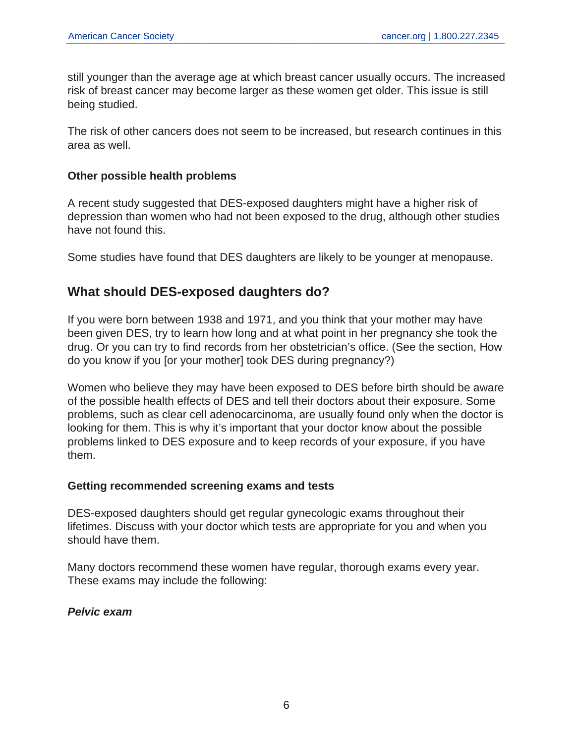still younger than the average age at which breast cancer usually occurs. The increased risk of breast cancer may become larger as these women get older. This issue is still being studied.

The risk of other cancers does not seem to be increased, but research continues in this area as well.

#### **Other possible health problems**

A recent study suggested that DES-exposed daughters might have a higher risk of depression than women who had not been exposed to the drug, although other studies have not found this.

Some studies have found that DES daughters are likely to be younger at menopause.

# **What should DES-exposed daughters do?**

If you were born between 1938 and 1971, and you think that your mother may have been given DES, try to learn how long and at what point in her pregnancy she took the drug. Or you can try to find records from her obstetrician's office. (See the section, How do you know if you [or your mother] took DES during pregnancy?)

Women who believe they may have been exposed to DES before birth should be aware of the possible health effects of DES and tell their doctors about their exposure. Some problems, such as clear cell adenocarcinoma, are usually found only when the doctor is looking for them. This is why it's important that your doctor know about the possible problems linked to DES exposure and to keep records of your exposure, if you have them.

#### **Getting recommended screening exams and tests**

DES-exposed daughters should get regular gynecologic exams throughout their lifetimes. Discuss with your doctor which tests are appropriate for you and when you should have them.

Many doctors recommend these women have regular, thorough exams every year. These exams may include the following:

**Pelvic exam**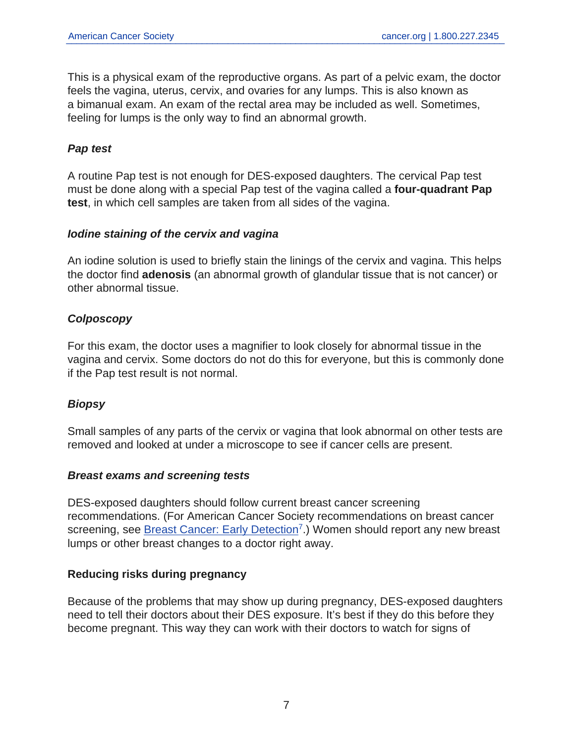This is a physical exam of the reproductive organs. As part of a pelvic exam, the doctor feels the vagina, uterus, cervix, and ovaries for any lumps. This is also known as a bimanual exam. An exam of the rectal area may be included as well. Sometimes, feeling for lumps is the only way to find an abnormal growth.

## **Pap test**

A routine Pap test is not enough for DES-exposed daughters. The cervical Pap test must be done along with a special Pap test of the vagina called a **four-quadrant Pap test**, in which cell samples are taken from all sides of the vagina.

#### **Iodine staining of the cervix and vagina**

An iodine solution is used to briefly stain the linings of the cervix and vagina. This helps the doctor find **adenosis** (an abnormal growth of glandular tissue that is not cancer) or other abnormal tissue.

## **Colposcopy**

For this exam, the doctor uses a magnifier to look closely for abnormal tissue in the vagina and cervix. Some doctors do not do this for everyone, but this is commonly done if the Pap test result is not normal.

## **Biopsy**

Small samples of any parts of the cervix or vagina that look abnormal on other tests are removed and looked at under a microscope to see if cancer cells are present.

#### **Breast exams and screening tests**

DES-exposed daughters should follow current breast cancer screening recommendations. (For American Cancer Society recommendations on breast cancer screening, see **Breast Cancer: Early Detection**<sup>7</sup>.) Women should report any new breast lumps or other breast changes to a doctor right away.

#### **Reducing risks during pregnancy**

Because of the problems that may show up during pregnancy, DES-exposed daughters need to tell their doctors about their DES exposure. It's best if they do this before they become pregnant. This way they can work with their doctors to watch for signs of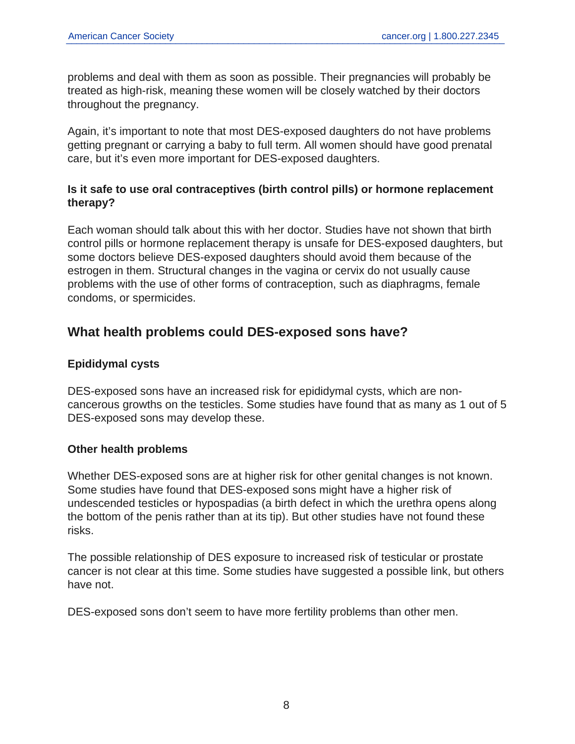problems and deal with them as soon as possible. Their pregnancies will probably be treated as high-risk, meaning these women will be closely watched by their doctors throughout the pregnancy.

Again, it's important to note that most DES-exposed daughters do not have problems getting pregnant or carrying a baby to full term. All women should have good prenatal care, but it's even more important for DES-exposed daughters.

## **Is it safe to use oral contraceptives (birth control pills) or hormone replacement therapy?**

Each woman should talk about this with her doctor. Studies have not shown that birth control pills or hormone replacement therapy is unsafe for DES-exposed daughters, but some doctors believe DES-exposed daughters should avoid them because of the estrogen in them. Structural changes in the vagina or cervix do not usually cause problems with the use of other forms of contraception, such as diaphragms, female condoms, or spermicides.

# **What health problems could DES-exposed sons have?**

## **Epididymal cysts**

DES-exposed sons have an increased risk for epididymal cysts, which are noncancerous growths on the testicles. Some studies have found that as many as 1 out of 5 DES-exposed sons may develop these.

#### **Other health problems**

Whether DES-exposed sons are at higher risk for other genital changes is not known. Some studies have found that DES-exposed sons might have a higher risk of undescended testicles or hypospadias (a birth defect in which the urethra opens along the bottom of the penis rather than at its tip). But other studies have not found these risks.

The possible relationship of DES exposure to increased risk of testicular or prostate cancer is not clear at this time. Some studies have suggested a possible link, but others have not.

DES-exposed sons don't seem to have more fertility problems than other men.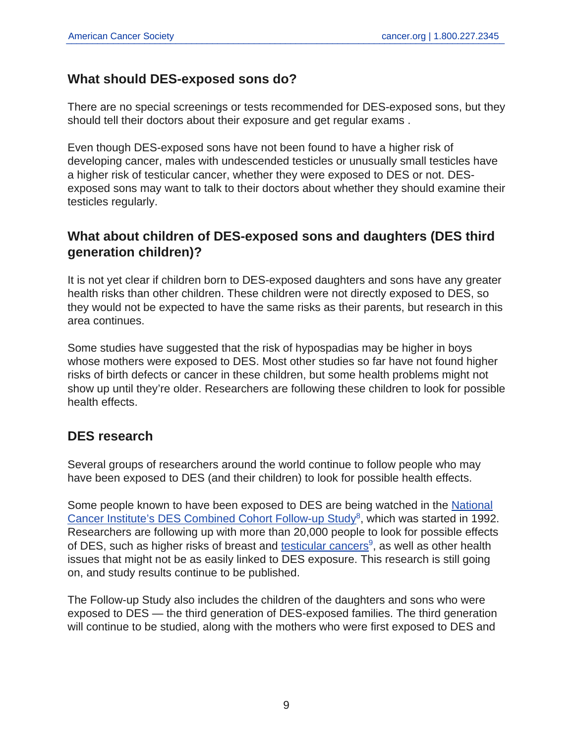# **What should DES-exposed sons do?**

There are no special screenings or tests recommended for DES-exposed sons, but they should tell their doctors about their exposure and get regular exams .

Even though DES-exposed sons have not been found to have a higher risk of developing cancer, males with undescended testicles or unusually small testicles have a higher risk of testicular cancer, whether they were exposed to DES or not. DESexposed sons may want to talk to their doctors about whether they should examine their testicles regularly.

# **What about children of DES-exposed sons and daughters (DES third generation children)?**

It is not yet clear if children born to DES-exposed daughters and sons have any greater health risks than other children. These children were not directly exposed to DES, so they would not be expected to have the same risks as their parents, but research in this area continues.

Some studies have suggested that the risk of hypospadias may be higher in boys whose mothers were exposed to DES. Most other studies so far have not found higher risks of birth defects or cancer in these children, but some health problems might not show up until they're older. Researchers are following these children to look for possible health effects.

# **DES research**

Several groups of researchers around the world continue to follow people who may have been exposed to DES (and their children) to look for possible health effects.

Some people known to have been exposed to DES are being watched in the [National](https://www.desfollowupstudy.org/index.asp) [Cancer Institute's DES Combined Cohort Follow-up Study](https://www.desfollowupstudy.org/index.asp)<sup>8</sup>, which was started in 1992. Researchers are following up with more than 20,000 people to look for possible effects of DES, such as higher risks of breast and [testicular cancers](https://www.cancer.org/cancer/testicular-cancer.html)<sup>9</sup>, as well as other health issues that might not be as easily linked to DES exposure. This research is still going on, and study results continue to be published.

The Follow-up Study also includes the children of the daughters and sons who were exposed to DES — the third generation of DES-exposed families. The third generation will continue to be studied, along with the mothers who were first exposed to DES and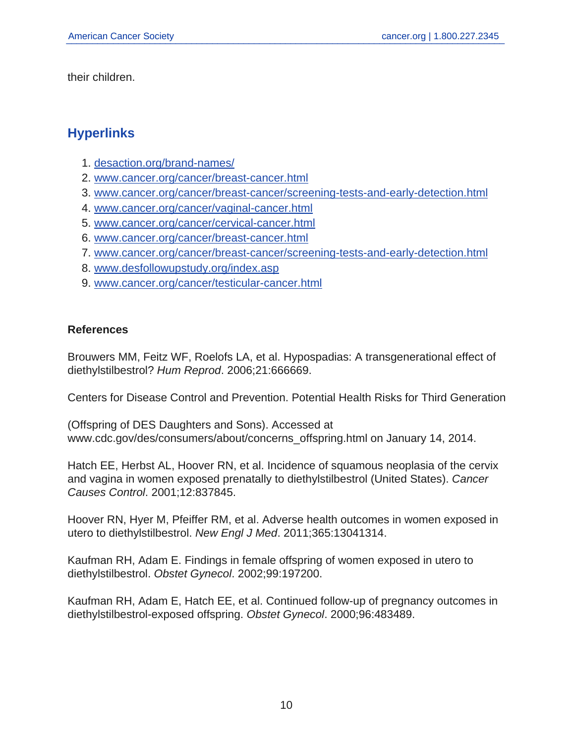their children.

# **Hyperlinks**

- 1. [desaction.org/brand-names/](https://desaction.org/brand-names/)
- 2. [www.cancer.org/cancer/breast-cancer.html](https://www.cancer.org/cancer/breast-cancer.html)
- 3. [www.cancer.org/cancer/breast-cancer/screening-tests-and-early-detection.html](https://www.cancer.org/cancer/breast-cancer/screening-tests-and-early-detection.html)
- 4. [www.cancer.org/cancer/vaginal-cancer.html](https://www.cancer.org/cancer/vaginal-cancer.html)
- 5. [www.cancer.org/cancer/cervical-cancer.html](https://www.cancer.org/cancer/cervical-cancer.html)
- 6. [www.cancer.org/cancer/breast-cancer.html](https://www.cancer.org/cancer/breast-cancer.html)
- 7. [www.cancer.org/cancer/breast-cancer/screening-tests-and-early-detection.html](https://www.cancer.org/cancer/breast-cancer/screening-tests-and-early-detection.html)
- 8. [www.desfollowupstudy.org/index.asp](https://www.desfollowupstudy.org/index.asp)
- 9. [www.cancer.org/cancer/testicular-cancer.html](https://www.cancer.org/cancer/testicular-cancer.html)

## **References**

Brouwers MM, Feitz WF, Roelofs LA, et al. Hypospadias: A transgenerational effect of diethylstilbestrol? Hum Reprod. 2006;21:666669.

Centers for Disease Control and Prevention. Potential Health Risks for Third Generation

(Offspring of DES Daughters and Sons). Accessed at www.cdc.gov/des/consumers/about/concerns\_offspring.html on January 14, 2014.

Hatch EE, Herbst AL, Hoover RN, et al. Incidence of squamous neoplasia of the cervix and vagina in women exposed prenatally to diethylstilbestrol (United States). Cancer Causes Control. 2001;12:837845.

Hoover RN, Hyer M, Pfeiffer RM, et al. Adverse health outcomes in women exposed in utero to diethylstilbestrol. New Engl J Med. 2011;365:13041314.

Kaufman RH, Adam E. Findings in female offspring of women exposed in utero to diethylstilbestrol. Obstet Gynecol. 2002;99:197200.

Kaufman RH, Adam E, Hatch EE, et al. Continued follow-up of pregnancy outcomes in diethylstilbestrol-exposed offspring. Obstet Gynecol. 2000;96:483489.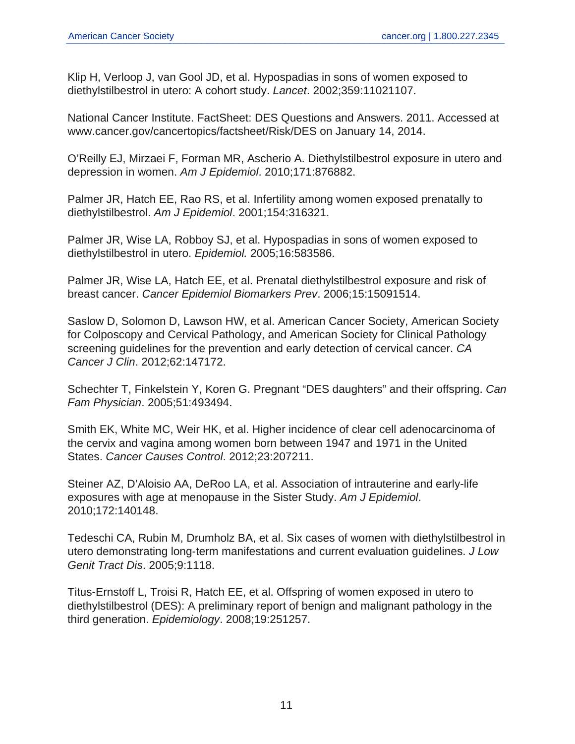Klip H, Verloop J, van Gool JD, et al. Hypospadias in sons of women exposed to diethylstilbestrol in utero: A cohort study. Lancet. 2002;359:11021107.

National Cancer Institute. FactSheet: DES Questions and Answers. 2011. Accessed at www.cancer.gov/cancertopics/factsheet/Risk/DES on January 14, 2014.

O'Reilly EJ, Mirzaei F, Forman MR, Ascherio A. Diethylstilbestrol exposure in utero and depression in women. Am J Epidemiol. 2010;171:876882.

Palmer JR, Hatch EE, Rao RS, et al. Infertility among women exposed prenatally to diethylstilbestrol. Am J Epidemiol. 2001;154:316321.

Palmer JR, Wise LA, Robboy SJ, et al. Hypospadias in sons of women exposed to diethylstilbestrol in utero. Epidemiol. 2005;16:583586.

Palmer JR, Wise LA, Hatch EE, et al. Prenatal diethylstilbestrol exposure and risk of breast cancer. Cancer Epidemiol Biomarkers Prev. 2006;15:15091514.

Saslow D, Solomon D, Lawson HW, et al. American Cancer Society, American Society for Colposcopy and Cervical Pathology, and American Society for Clinical Pathology screening guidelines for the prevention and early detection of cervical cancer. CA Cancer J Clin. 2012;62:147172.

Schechter T, Finkelstein Y, Koren G. Pregnant "DES daughters" and their offspring. Can Fam Physician. 2005;51:493494.

Smith EK, White MC, Weir HK, et al. Higher incidence of clear cell adenocarcinoma of the cervix and vagina among women born between 1947 and 1971 in the United States. Cancer Causes Control. 2012;23:207211.

Steiner AZ, D'Aloisio AA, DeRoo LA, et al. Association of intrauterine and early-life exposures with age at menopause in the Sister Study. Am J Epidemiol. 2010;172:140148.

Tedeschi CA, Rubin M, Drumholz BA, et al. Six cases of women with diethylstilbestrol in utero demonstrating long-term manifestations and current evaluation guidelines. J Low Genit Tract Dis. 2005;9:1118.

Titus-Ernstoff L, Troisi R, Hatch EE, et al. Offspring of women exposed in utero to diethylstilbestrol (DES): A preliminary report of benign and malignant pathology in the third generation. Epidemiology. 2008;19:251257.